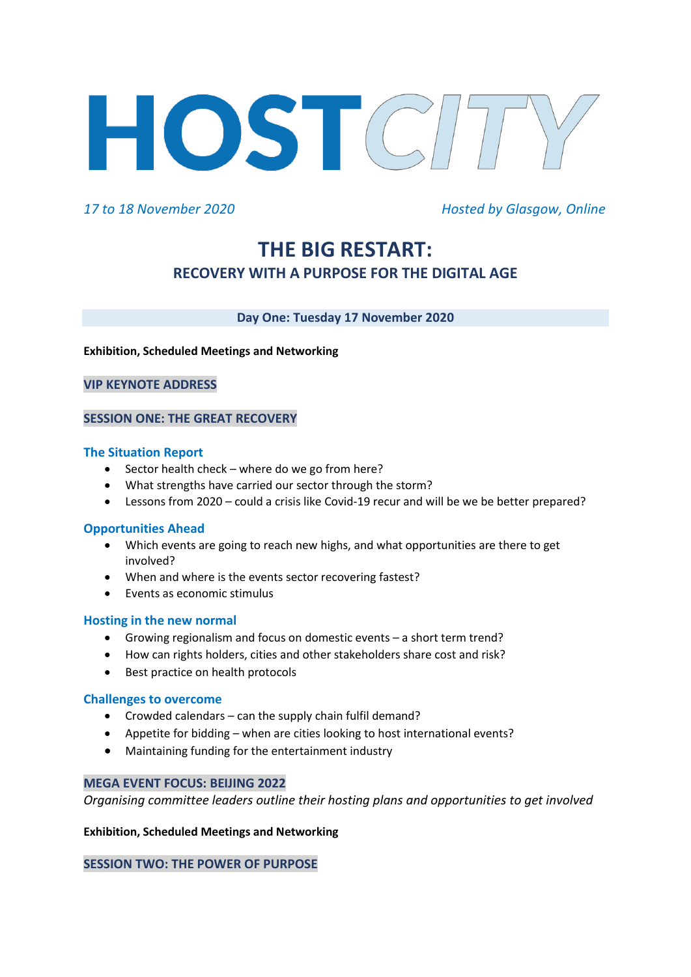

*17 to 18 November 2020 Hosted by Glasgow, Online*

# **THE BIG RESTART: RECOVERY WITH A PURPOSE FOR THE DIGITAL AGE**

# **Day One: Tuesday 17 November 2020**

#### **Exhibition, Scheduled Meetings and Networking**

#### **VIP KEYNOTE ADDRESS**

# **SESSION ONE: THE GREAT RECOVERY**

#### **The Situation Report**

- Sector health check where do we go from here?
- What strengths have carried our sector through the storm?
- Lessons from 2020 could a crisis like Covid-19 recur and will be we be better prepared?

#### **Opportunities Ahead**

- Which events are going to reach new highs, and what opportunities are there to get involved?
- When and where is the events sector recovering fastest?
- Events as economic stimulus

#### **Hosting in the new normal**

- Growing regionalism and focus on domestic events a short term trend?
- How can rights holders, cities and other stakeholders share cost and risk?
- Best practice on health protocols

#### **Challenges to overcome**

- Crowded calendars can the supply chain fulfil demand?
- Appetite for bidding when are cities looking to host international events?
- Maintaining funding for the entertainment industry

#### **MEGA EVENT FOCUS: BEIJING 2022**

*Organising committee leaders outline their hosting plans and opportunities to get involved*

#### **Exhibition, Scheduled Meetings and Networking**

#### **SESSION TWO: THE POWER OF PURPOSE**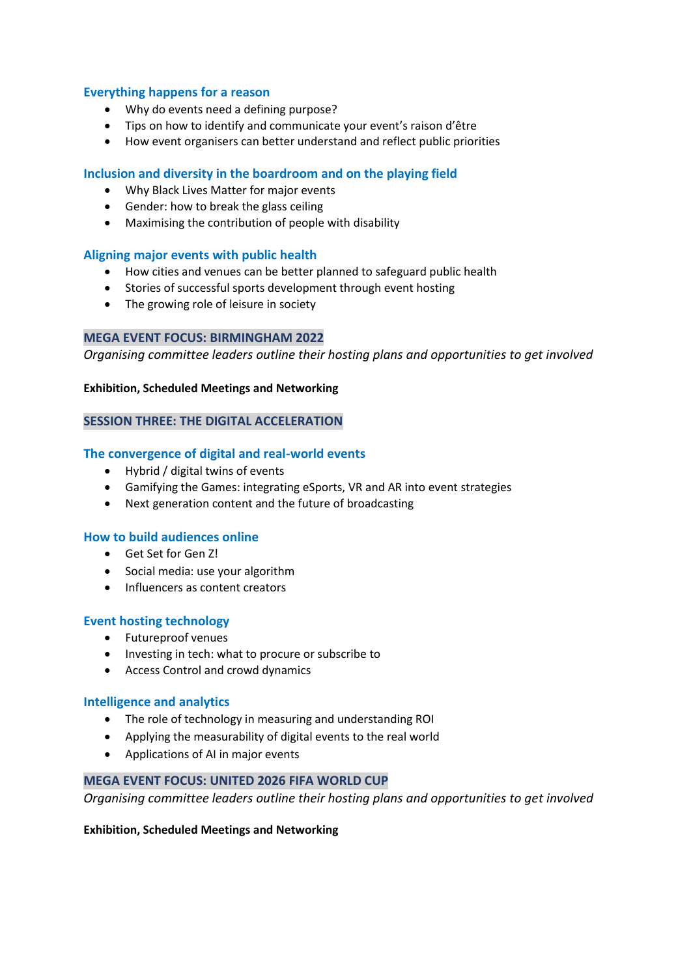# **Everything happens for a reason**

- Why do events need a defining purpose?
- Tips on how to identify and communicate your event's raison d'être
- How event organisers can better understand and reflect public priorities

# **Inclusion and diversity in the boardroom and on the playing field**

- Why Black Lives Matter for major events
- Gender: how to break the glass ceiling
- Maximising the contribution of people with disability

# **Aligning major events with public health**

- How cities and venues can be better planned to safeguard public health
- Stories of successful sports development through event hosting
- The growing role of leisure in society

#### **MEGA EVENT FOCUS: BIRMINGHAM 2022**

*Organising committee leaders outline their hosting plans and opportunities to get involved*

#### **Exhibition, Scheduled Meetings and Networking**

# **SESSION THREE: THE DIGITAL ACCELERATION**

# **The convergence of digital and real-world events**

- Hybrid / digital twins of events
- Gamifying the Games: integrating eSports, VR and AR into event strategies
- Next generation content and the future of broadcasting

#### **How to build audiences online**

- Get Set for Gen Z!
- Social media: use your algorithm
- Influencers as content creators

# **Event hosting technology**

- Futureproof venues
- Investing in tech: what to procure or subscribe to
- Access Control and crowd dynamics

#### **Intelligence and analytics**

- The role of technology in measuring and understanding ROI
- Applying the measurability of digital events to the real world
- Applications of AI in major events

#### **MEGA EVENT FOCUS: UNITED 2026 FIFA WORLD CUP**

*Organising committee leaders outline their hosting plans and opportunities to get involved*

#### **Exhibition, Scheduled Meetings and Networking**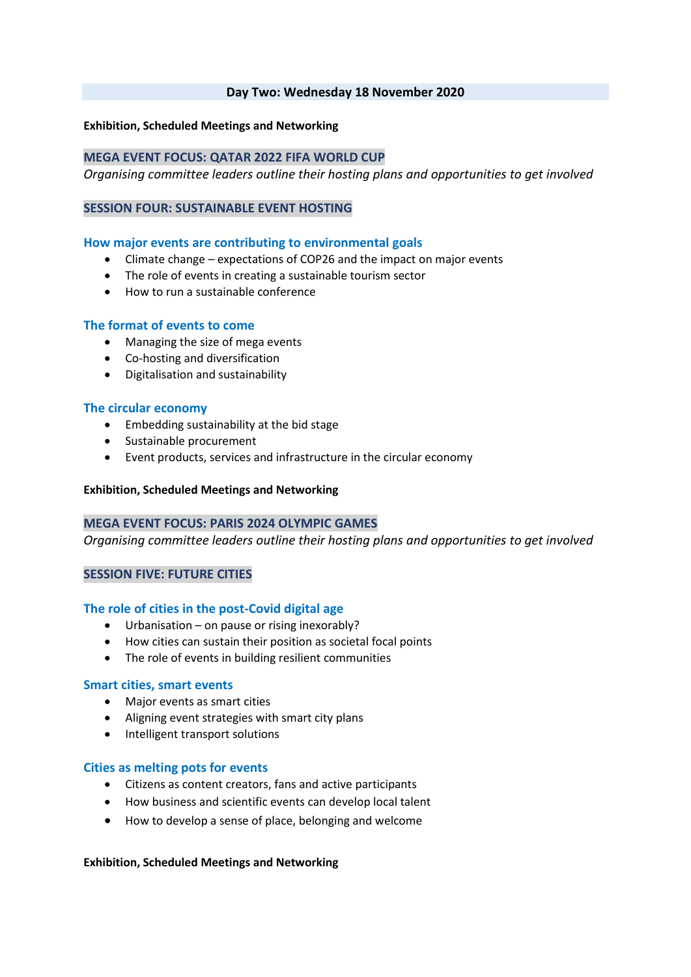### **Day Two: Wednesday 18 November 2020**

## **Exhibition, Scheduled Meetings and Networking**

# **MEGA EVENT FOCUS: QATAR 2022 FIFA WORLD CUP**

*Organising committee leaders outline their hosting plans and opportunities to get involved*

#### **SESSION FOUR: SUSTAINABLE EVENT HOSTING**

#### **How major events are contributing to environmental goals**

- Climate change expectations of COP26 and the impact on major events
- The role of events in creating a sustainable tourism sector
- How to run a sustainable conference

#### **The format of events to come**

- Managing the size of mega events
- Co-hosting and diversification
- Digitalisation and sustainability

#### **The circular economy**

- Embedding sustainability at the bid stage
- Sustainable procurement
- Event products, services and infrastructure in the circular economy

#### **Exhibition, Scheduled Meetings and Networking**

#### **MEGA EVENT FOCUS: PARIS 2024 OLYMPIC GAMES**

*Organising committee leaders outline their hosting plans and opportunities to get involved*

#### **SESSION FIVE: FUTURE CITIES**

#### **The role of cities in the post-Covid digital age**

- Urbanisation on pause or rising inexorably?
- How cities can sustain their position as societal focal points
- The role of events in building resilient communities

#### **Smart cities, smart events**

- Major events as smart cities
- Aligning event strategies with smart city plans
- Intelligent transport solutions

#### **Cities as melting pots for events**

- Citizens as content creators, fans and active participants
- How business and scientific events can develop local talent
- How to develop a sense of place, belonging and welcome

#### **Exhibition, Scheduled Meetings and Networking**